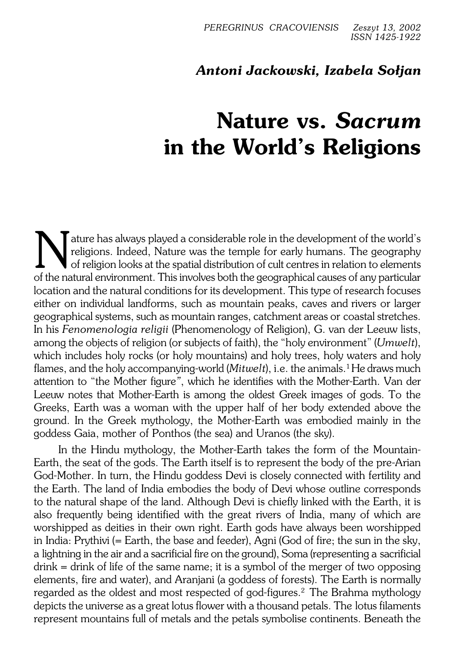## *Antoni Jackowski, Izabela Sołjan*

## **Nature vs.** *Sacrum* **in the World's Religions**

Nature has always played a considerable role in the development of the world's religions. Indeed, Nature was the temple for early humans. The geography of the natural environment. This involves both the geographical causes Tature has always played a considerable role in the development of the world's religions. Indeed, Nature was the temple for early humans. The geography of religion looks at the spatial distribution of cult centres in relation to elements location and the natural conditions for its development. This type of research focuses either on individual landforms, such as mountain peaks, caves and rivers or larger geographical systems, such as mountain ranges, catchment areas orcoastal stretches. In his *Fenomenologia religii* (Phenomenology of Religion), G. van der Leeuw lists, among the objects of religion (or subjects of faith), the "holy environment" (*Umwelt*), which includes holy rocks (or holy mountains) and holy trees, holy waters and holy flames, and the holy accompanying-world (*Mitwelt*), i.e. the animals.<sup>1</sup> He draws much attention to "the Mother figure*"*, which he identifies withtheMother−Earth. Van der Leeuw notes that Mother−Earth is among the oldest Greek images of gods. To the Greeks, Earth was a woman with the upper half of her body extended above the ground. In the Greek mythology, the Mother−Earth was embodied mainly in the goddess Gaia, mother of Ponthos (the sea) and Uranos (thesky).

In the Hindu mythology, the Mother−Earth takes the form of the Mountain− Earth, the seat of the gods. The Earth itself is to represent the body of the pre−Arian God−Mother. In turn, the Hindu goddess Devi is closely connected with fertility and the Earth. The land of India embodies the body of Devi whose outline corresponds to the natural shape of the land. Although Devi is chiefly linked with the Earth, it is also frequently being identified with the great rivers of India, many of which are worshipped as deities in their own right. Earth gods have always been worshipped in India: Prythivi (= Earth, the base and feeder), Agni (God of fire; the sun in the sky, alightning in the air and a sacrificial fire on the ground), Soma (representing asacrificial  $d$  drink = drink of life of the same name; it is a symbol of the merger of two opposing elements, fire and water), and Aranjani (a goddess of forests). The Earth is normally regarded as the oldest and most respected of god−figures.<sup>2</sup> The Brahma mythology depicts the universe as a great lotus flower with a thousand petals. The lotus filaments represent mountains full of metals and the petals symbolise continents. Beneath the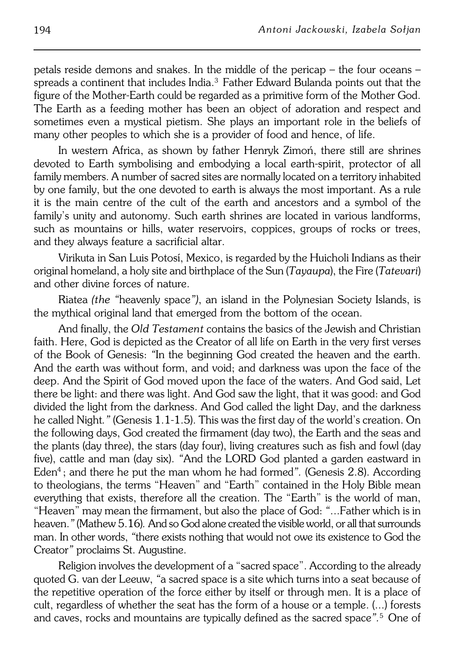petals reside demons and snakes. In the middle of the pericap – the four oceans – spreads a continent that includes India.<sup>3</sup> Father Edward Bulanda points out that the figure of the Mother−Earth could be regarded as a primitive form of the Mother God. The Earth as a feeding mother has been an object of adoration and respect and sometimes even a mystical pietism. She plays an important role in the beliefs of many other peoples to which she is a provider of food and hence, of life.

In western Africa, as shown by father Henryk Zimoń, there still are shrines devoted to Earth symbolising and embodying a local earth−spirit, protector of all family members. A number of sacred sites are normally located on a territory inhabited by one family, but the one devoted to earth is always the most important. As a rule it is the main centre of the cult of the earth and ancestors and a symbol of the family's unity and autonomy. Such earth shrines are located in various landforms, such as mountains or hills, water reservoirs, coppices, groups of rocks or trees, and they always feature a sacrificial altar.

Virikuta in San Luis Potosí, Mexico, is regarded by the Huicholi Indians as their original homeland, a holy site and birthplace of the Sun (*Tayaupa*), the Fire (*Tatevari*) and other divine forces of nature.

Riatea *(the "*heavenly space*")*, an island in the Polynesian Society Islands, is the mythical original land that emerged from the bottom of the ocean.

And finally, the *Old Testament* contains the basics of the Jewish and Christian faith. Here, God is depicted as the Creator of all life on Earth in the very first verses of the Book of Genesis: *"*In the beginning God created the heaven and the earth. And the earth was without form, and void; and darkness was upon the face of the deep. And the Spirit of God moved upon the face of the waters. And God said, Let there be light: and there was light. And God saw the light, that it was good: and God divided the light from the darkness. And God called the light Day, and the darkness he called Night." (Genesis 1.1-1.5). This was the first day of the world's creation. On the following days, God created the firmament (day two), the Earth and the seas and the plants (day three), the stars (day four), living creatures such as fish and fowl (day five), cattle and man (day six). *"*And the LORD God planted a garden eastward in Eden<sup>4</sup> ; and there he put the man whom he had formed*".* (Genesis 2.8). According to theologians, the terms "Heaven" and "Earth" contained in the Holy Bible mean everything that exists, therefore all the creation. The "Earth" is the world of man, "Heaven" may mean the firmament, but also the place of God: "...Father which is in heaven.*"* (Mathew 5.16)*.* And so God alone created the visible world, or all that surrounds man. In other words, *"*there exists nothing that would not owe its existence to God the Creator*"* proclaims St. Augustine.

Religion involves the development of a "sacred space". According to the already quoted G. van der Leeuw, *"*a sacred space is a site which turns into a seat because of the repetitive operation of the force either by itself or through men. It is a place of cult, regardless of whether the seat has the form of a house or atemple. (...) forests and caves, rocks and mountains are typically defined as the sacred space".<sup>5</sup> One of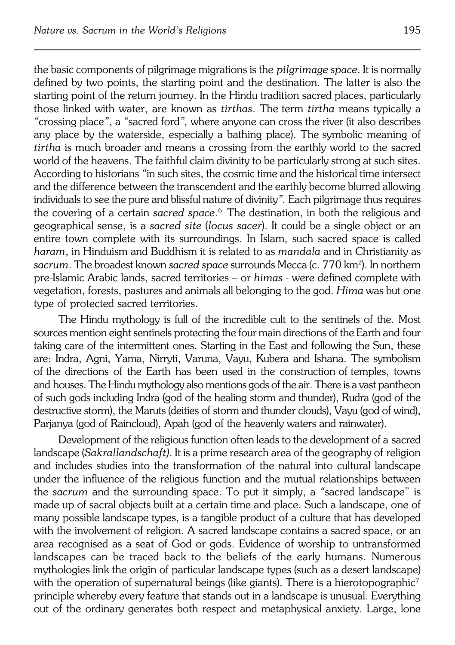the basic components of pilgrimage migrations is the*pilgrimage space*. It is normally defined by two points, the starting point and the destination. The latter is also the starting point of the return journey. In the Hindu tradition sacred places, particularly those linked with water, are known as *tirthas*. The term *tirtha* means typically a *"*crossing place*"*, a *"*sacred ford*",* where anyone can cross the river (it also describes any place by the waterside, especially a bathing place). The symbolic meaning of *tirtha* is much broader and means a crossing from the earthly world to the sacred world of the heavens. The faithful claim divinity to be particularly strong at such sites. According to historians *"*in such sites, the cosmic time and the historical time intersect and the difference between the transcendent and the earthly become blurred allowing individuals to see the pure and blissful nature of divinity*".* Each pilgrimage thus requires the covering of a certain *sacred space*. 6 The destination, in both the religious and geographical sense, is a *sacred site* (*locus sacer*). It could be a single object or an entire town complete with its surroundings. In Islam, such sacred space is called *haram*, in Hinduism and Buddhism it is related to as *mandala* and in Christianity as *sacrum*. The broadest known *sacred space* surrounds Mecca (c. 770 km<sup>2</sup> ). In northern pre−Islamic Arabic lands, sacred territories – or *himas −* were defined complete with vegetation, forests, pastures and animals all belonging to the god. *Hima* was but one type of protected sacred territories.

The Hindu mythology is full of the incredible cult to the sentinels of the. Most sources mention eight sentinels protecting the four main directions of the Earth and four taking care of the intermittent ones. Starting in the East and following the Sun, these are: Indra, Agni, Yama, Nirryti, Varuna, Vayu, Kubera and Ishana. The symbolism of the directions of the Earth has been used in the construction of temples, towns and houses. The Hindu mythology also mentions gods of the air. There is a vast pantheon ofsuch gods including Indra (god of the healing storm and thunder), Rudra (god of the destructive storm), the Maruts (deities of storm and thunder clouds), Vayu (god of wind), Parjanya (god of Raincloud), Apah (god of the heavenly waters and rainwater).

Development of the religious function often leads to the development of a sacred landscape (*Sakrallandschaft)*. It is a prime research area of the geography ofreligion and includes studies into the transformation of the natural into cultural landscape under the influence of the religious function and the mutual relationships between the *sacrum* and the surrounding space. To put it simply, a *"*sacred landscape" is made up of sacral objects built at a certain time and place. Such a landscape, one of many possible landscape types, is a tangible product of a culture that has developed with the involvement of religion. A sacred landscape contains a sacred space, or an area recognised as a seat of God or gods. Evidence of worship to untransformed landscapes can be traced back to the beliefs of the early humans. Numerous mythologies link the origin of particular landscape types (such as a desert landscape) with the operation of supernatural beings (like giants). There is a hierotopographic<sup>7</sup> principle whereby every feature that stands out in a landscape is unusual. Everything out of the ordinary generates both respect and metaphysical anxiety. Large, lone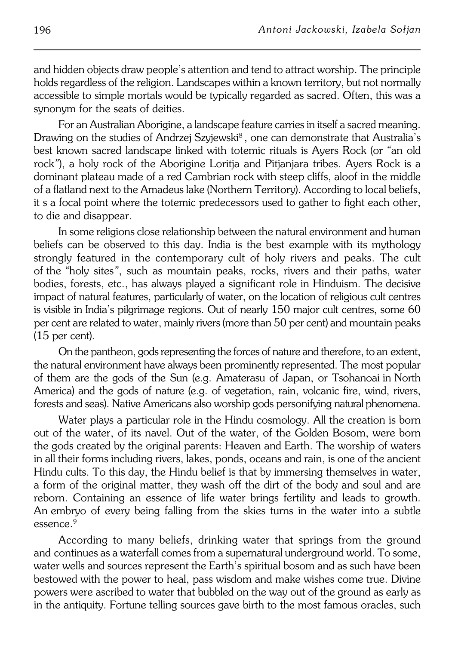and hidden objects draw people's attention and tend to attract worship. The principle holds regardless of the religion. Landscapes within a known territory, but not normally accessible to simple mortals would be typically regarded as sacred. Often, this was a synonym for the seats of deities.

For an Australian Aborigine, a landscape feature carries in itself a sacred meaning. Drawing on the studies of Andrzej Szyjewski $^{\rm 8}$ , one can demonstrate that Australia's best known sacred landscape linked with totemic rituals is Ayers Rock (or*"*an old rock*"*), a holy rock of the Aborigine Loritja and Pitjanjara tribes. Ayers Rock is a dominant plateau made of a red Cambrian rock with steep cliffs, aloof in the middle of a flatland next to the Amadeus lake (Northern Territory). According to local beliefs, it s a focal point where the totemic predecessors used to gather to fight each other, to die and disappear.

In some religions close relationship between the natural environment and human beliefs can be observed to this day. India is the best example with its mythology strongly featured in the contemporary cult of holy rivers and peaks. The cult ofthe*"*holy sites*"*, such as mountain peaks, rocks, rivers and their paths, water bodies, forests, etc., has always played a significant role in Hinduism. The decisive impact of natural features, particularly of water, on the location of religious cult centres is visible in India's pilgrimage regions. Out of nearly 150 major cult centres, some 60 per cent are related to water, mainly rivers (more than 50 per cent) and mountain peaks (15 per cent).

On the pantheon, gods representing the forces of nature and therefore, to anextent, the natural environment have always been prominently represented. The most popular of them are the gods of the Sun (e.g. Amaterasu of Japan, or TsohanoaiinNorth America) and the gods of nature (e.g. of vegetation, rain, volcanic fire, wind, rivers, forests and seas). Native Americans also worship gods personifying natural phenomena.

Water plays a particular role in the Hindu cosmology. All the creation is born out of the water, of its navel. Out of the water, of the Golden Bosom, were born the gods created by the original parents: Heaven and Earth. The worship of waters in all their forms including rivers, lakes, ponds, oceans and rain, is one of the ancient Hindu cults. To this day, the Hindu belief is that by immersing themselves in water, a form of the original matter, they wash off the dirt of the body and soul and are reborn. Containing an essence of life water brings fertility and leads to growth. An embryo of every being falling from the skies turns in the water into a subtle  $\epsilon$ essence.<sup>9</sup>

According to many beliefs, drinking water that springs from the ground and continues as a waterfall comes from a supernatural underground world. To some, water wells and sources represent the Earth's spiritual bosom and as such have been bestowed with the power to heal, pass wisdom and make wishes come true. Divine powers were ascribed to water that bubbled on the way out of the ground as early as in the antiquity. Fortune telling sources gave birth to the most famous oracles, such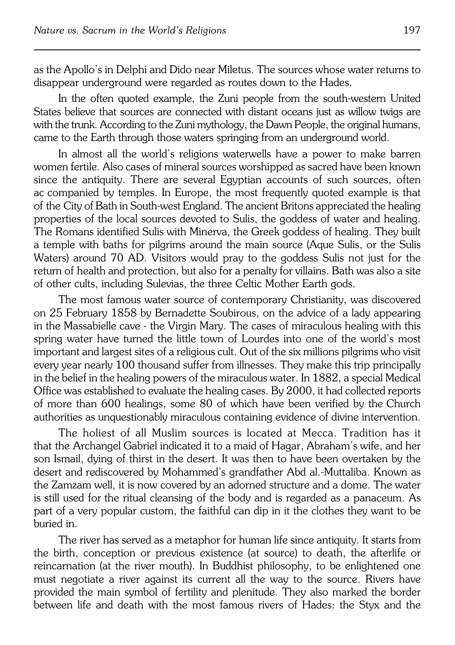as the Apollo's in Delphi and Dido near Miletus. The sources whose water returns to disappear underground were regarded as routes down to the Hades.

In the often quoted example, the Zuni people from the south−western United States believe that sources are connected with distant oceans just as willow twigs are with the trunk. According to the Zuni mythology, the Dawn People, the original humans, came to the Earth through those waters springing from an underground world.

In almost all the world's religions waterwells have a power to make barren women fertile. Also cases of mineral sources worshipped as sacred have been known since the antiquity. There are several Egyptian accounts of such sources, often ac companied by temples. In Europe, the most frequently quoted example is that oftheCity of Bath in South−west England. The ancient Britons appreciated the healing properties of the local sources devoted to Sulis, the goddess of water and healing. The Romans identified Sulis with Minerva, the Greek goddess of healing. They built a temple with baths for pilgrims around the main source (Aque Sulis, or the Sulis Waters) around 70 AD. Visitors would pray to the goddess Sulis not just for the return of health and protection, but also for a penalty for villains. Bath was also a site of other cults, including Sulevias, the three Celtic Mother Earth gods.

The most famous water source of contemporary Christianity, was discovered on 25 February 1858 by Bernadette Soubirous, on the advice of a lady appearing in the Massabielle cave - the Virgin Mary. The cases of miraculous healing with this spring water have turned the little town of Lourdes into one of the world's most important and largest sites of a religious cult. Out of the six millions pilgrims who visit every year nearly 100 thousand suffer from illnesses. They make this trip principally in the belief in the healing powers of the miraculous water. In 1882, a special Medical Office was established to evaluate the healing cases. By 2000, it had collected reports of more than 600 healings, some 80 of which have been verified by theChurch authorities as unquestionably miraculous containing evidence of divine intervention.

The holiest of all Muslim sources is located at Mecca. Tradition has it that the Archangel Gabriel indicated it to a maid of Hagar, Abraham's wife, and her son Ismail, dying of thirst in the desert. It was then to have been overtaken by the desert and rediscovered by Mohammed's grandfather Abd al.−Muttaliba. Known as the Zamzam well, it is now covered by an adorned structure and a dome. The water is still used for the ritual cleansing of the body and is regarded as a panaceum. As part of a very popular custom, the faithful can dip in it the clothes they want to be buried in.

The river has served as a metaphor for human life since antiquity. It starts from the birth, conception or previous existence (at source) to death, the afterlife or reincarnation (at the river mouth). In Buddhist philosophy, to be enlightened one must negotiate a river against its current all the way to the source. Rivers have provided the main symbol of fertility and plenitude. They also marked the border between life and death with the most famous rivers of Hades: the Styx and the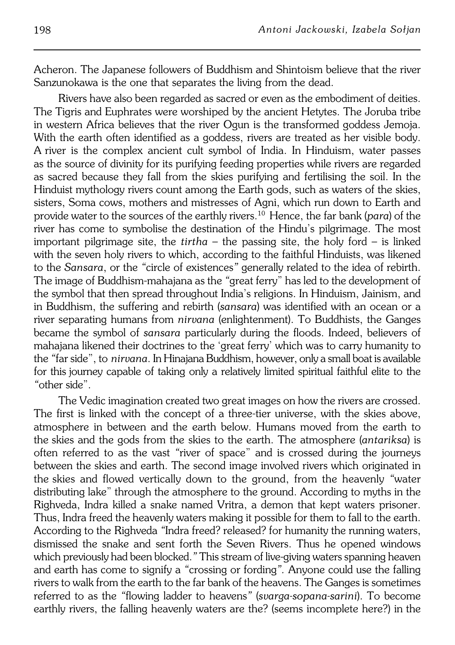Acheron. The Japanese followers of Buddhism and Shintoism believe that the river Sanzunokawa is the one that separates the living from the dead.

Rivers have also been regarded as sacred or even as the embodiment of deities. The Tigris and Euphrates were worshiped by the ancient Hetytes. The Joruba tribe in western Africa believes that the river Ogun is the transformed goddess Jemoja. With the earth often identified as a goddess, rivers are treated as her visible body. Ariver is the complex ancient cult symbol of India. In Hinduism, water passes as the source of divinity for its purifying feeding properties while rivers are regarded as sacred because they fall from the skies purifying and fertilising the soil. In the Hinduist mythology rivers count among the Earth gods, such as waters of the skies, sisters, Soma cows, mothers and mistresses of Agni, which run down to Earth and provide water to the sources of the earthly rivers.10 Hence, the far bank (*para*) of the river has come to symbolise the destination of the Hindu's pilgrimage. The most important pilgrimage site, the *tirtha* – the passing site, the holy ford – is linked with the seven holy rivers to which, according to the faithful Hinduists, was likened to the*Sansara*, or the *"*circle of existences*"* generally related to the idea of rebirth. The image of Buddhism−mahajana as the *"*great ferry" has led to the development of the symbol that then spread throughout India's religions. In Hinduism, Jainism, and in Buddhism, the suffering and rebirth (*sansara*) was identified with an ocean or a river separating humans from *nirvana* (enlightenment). To Buddhists, the Ganges became the symbol of *sansara* particularly during the floods. Indeed, believers of mahajana likened their doctrines to the 'great ferry' which was to carry humanity to the *"*far side", to*nirvana*. In Hinajana Buddhism, however, only a small boat is available for thisjourney capable of taking only a relatively limited spiritual faithful elite to the *"*other side".

The Vedic imagination created two great images on how the rivers are crossed. The first is linked with the concept of a three−tier universe, with the skies above, atmosphere in between and the earth below. Humans moved from the earth to theskies and the gods from the skies to the earth. The atmosphere (*antariksa*) is often referred to as the vast *"*river of space" and is crossed during the journeys between the skies and earth. The second image involved rivers which originated in theskies and flowed vertically down to the ground, from the heavenly *"*water distributing lake" through the atmosphere to the ground. According to myths in the Righveda, Indra killed a snake named Vritra, a demon that kept waters prisoner. Thus, Indra freed the heavenly waters making it possible for them to fall to the earth. According to the Righveda "Indra freed? released? for humanity the running waters, dismissed the snake and sent forth the Seven Rivers. Thus he opened windows which previously had been blocked.*"* This stream of live−giving waters spanning heaven and earth has come to signify a *"*crossing or fording*".* Anyone could use the falling rivers to walk from the earth to the far bank of the heavens. The Ganges is sometimes referred to as the *"*flowing ladder to heavens*"* (*svarga−sopana−sarini*). To become earthly rivers, the falling heavenly waters are the? (seems incomplete here?) in the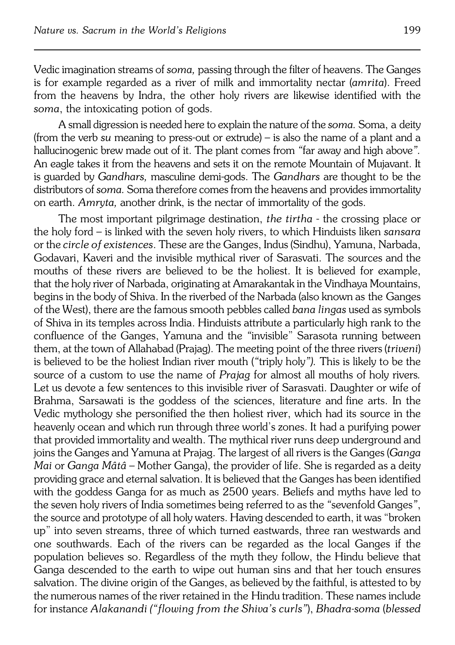Vedic imagination streams of *soma,* passing through the filter of heavens. The Ganges is for example regarded as a river of milk and immortality nectar (*amrita*). Freed from the heavens by Indra, the other holy rivers are likewise identified with the *soma*, the intoxicating potion of gods.

A small digression is needed here to explain the nature of the *soma*. Soma, a deity (from the verb *su* meaning to press−out or extrude) – is also the name of a plant and a hallucinogenic brew made out of it. The plant comes from *"*far away and high above*".* An eagle takes it from the heavens and sets it on the remote Mountain of Mujavant. It is guarded by *Gandhars,* masculine demi−gods. The *Gandhars* arethought to be the distributors of *soma*. Soma therefore comes from the heavens and provides immortality on earth. *Amryta*, another drink, is the nectar of immortality of the gods.

The most important pilgrimage destination, *the tirtha* − the crossing place or the holy ford – is linked with the seven holy rivers, to which Hinduists liken *sansara* or the *circle of existences*. These are the Ganges, Indus (Sindhu), Yamuna, Narbada, Godavari, Kaveri and the invisible mythical river of Sarasvati. The sources and the mouths of these rivers are believed to be the holiest. It is believed for example, that the holy river of Narbada, originating at Amarakantak in the Vindhaya Mountains, begins in the body of Shiva. In the riverbed of the Narbada (also known astheGanges of the West), there are the famous smooth pebbles called *bana lingas* used as symbols of Shiva in its temples across India. Hinduists attribute a particularly high rank to the confluence of the Ganges, Yamuna and the *"*invisible" Sarasota running between them, at the town of Allahabad (Prajag). The meeting point of the three rivers (*triveni*) is believed to be the holiest Indian river mouth (*"*triply holy*").* This is likely to be the source of a custom to use the name of *Prajag* for almost all mouths ofholy rivers*.* Let us devote a few sentences to this invisible river of Sarasvati. Daughter or wife of Brahma, Sarsawati is the goddess of the sciences, literature andfine arts. In the Vedic mythology she personified the then holiest river, which had its source in the heavenly ocean and which run through three world's zones. It had a purifying power that provided immortality and wealth. The mythical river runs deep underground and joins the Ganges and Yamuna at Prajag. The largest of all rivers is the Ganges (Ganga *Mai* or *Ganga Mâtâ* – Mother Ganga), the provider of life. She is regarded as a deity providing grace and eternal salvation. It is believed that the Ganges has been identified with the goddess Ganga for as much as 2500 years. Beliefs and myths have led to the seven holy rivers of India sometimes being referred to as the *"*sevenfold Ganges*"*, the source and prototype of all holy waters. Having descended to earth, it was "broken up" into seven streams, three of which turned eastwards, three ran westwards and one southwards. Each of the rivers can be regarded as the local Ganges if the population believes so. Regardless of the myth they follow, the Hindu believe that Ganga descended to the earth to wipe out human sins and that her touch ensures salvation. The divine origin of the Ganges, as believed by the faithful, is attested to by the numerous names of the river retained in the Hindu tradition. These names include for instance *Alakanandi ("flowing from the Shiva's curls"*), *Bhadra−soma* (*blessed*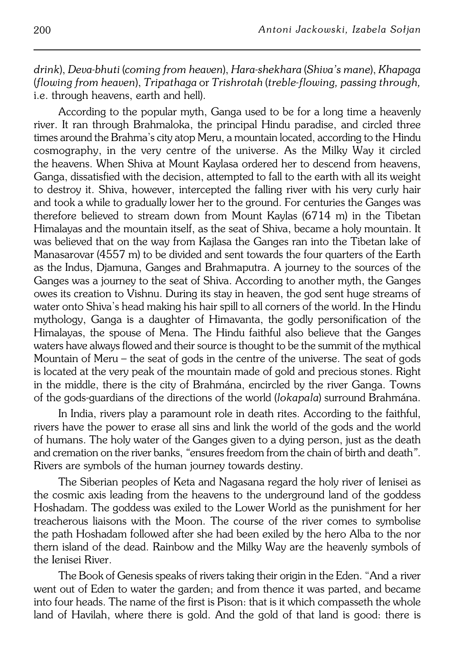*drink*), *Deva−bhuti* (*coming from heaven*), *Hara−shekhara* (*Shiva's mane*), *Khapaga* (*flowing from heaven*), *Tripathaga* or *Trishrotah* (*treble−flowing, passing through,* i.e. through heavens, earth and hell).

According to the popular myth, Ganga used to be for a long time a heavenly river. It ran through Brahmaloka, the principal Hindu paradise, and circled three times around the Brahma's city atop Meru, a mountain located, according to the Hindu cosmography, in the very centre of the universe. As the Milky Way it circled the heavens. When Shiva at Mount Kaylasa ordered her to descend from heavens, Ganga, dissatisfied with the decision, attempted to fall to the earth with all its weight to destroy it. Shiva, however, intercepted the falling river with his very curly hair and took a while to gradually lower her to the ground. For centuries the Ganges was therefore believed to stream down from Mount Kaylas (6714 m) in the Tibetan Himalayas and the mountain itself, as the seat of Shiva, became a holy mountain. It was believed that on the way from Kajlasa the Ganges ran into the Tibetan lake of Manasarovar (4557 m) to be divided and sent towards the four quarters of the Earth as the Indus, Djamuna, Ganges and Brahmaputra. A journey to the sources of the Ganges was a journey to the seat of Shiva. According to another myth, the Ganges owes its creation to Vishnu. During its stay in heaven, the god sent huge streams of water onto Shiva's head making his hair spill to all corners of the world. In the Hindu mythology, Ganga is a daughter of Himavanta, the godly personification of the Himalayas, the spouse of Mena. The Hindu faithful also believe that the Ganges waters have always flowed and their source is thought to be the summit of the mythical Mountain of Meru – the seat of gods in the centre of the universe. The seat of gods is located at the very peak of the mountain made of gold and precious stones. Right in the middle, there is the city of Brahmána, encircled by the river Ganga. Towns ofthe gods−guardians of the directions of the world (*lokapala*) surround Brahmána.

In India, rivers play a paramount role in death rites. According to the faithful, rivers have the power to erase all sins and link the world of the gods and the world ofhumans. The holy water of the Ganges given to a dying person, just as the death and cremation on the river banks, "ensures freedom from the chain of birth and death". Rivers are symbols of the human journey towards destiny.

The Siberian peoples of Keta and Nagasana regard the holy river of Ienisei as the cosmic axis leading from the heavens to the underground land of the goddess Hoshadam. The goddess was exiled to the Lower World as the punishment for her treacherous liaisons with the Moon. The course of the river comes to symbolise the path Hoshadam followed after she had been exiled by the hero Alba to the nor thern island of the dead. Rainbow and the Milky Way are the heavenly symbols of the Ienisei River.

The Book of Genesis speaks of rivers taking their origin in the Eden. "And a river went out of Eden to water the garden; and from thence it was parted, and became into four heads. The name of the first is Pison: that is it which compasseth the whole land of Havilah, where there is gold. And the gold of that land is good: there is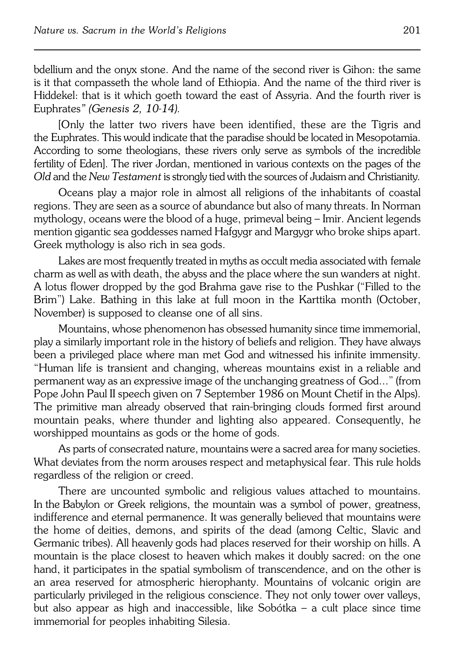bdellium and the onyx stone. And the name of the second river is Gihon: the same is it that compasseth the whole land of Ethiopia. And the name of the third river is Hiddekel: that is it which goeth toward the east of Assyria. And the fourth river is Euphrates*" (Genesis 2, 10−14).*

[Only the latter two rivers have been identified, these are the Tigris and the Euphrates. This would indicate that the paradise should be located in Mesopotamia. According to some theologians, these rivers only serve as symbols of the incredible fertility of Eden]. The river Jordan, mentioned in various contexts on the pages of the *Old* and the *New Testament* is strongly tied with the sources of Judaism and Christianity.

Oceans play a major role in almost all religions of the inhabitants of coastal regions. They are seen as a source of abundance but also of many threats. In Norman mythology, oceans were the blood of a huge, primeval being – Imir. Ancient legends mention gigantic sea goddesses named Hafgygr and Margygr who broke ships apart. Greek mythology is also rich in sea gods.

Lakes are most frequently treated in myths as occult media associated with female charm as well as with death, the abyss and the place where the sun wanders at night. A lotus flower dropped by the god Brahma gave rise to the Pushkar ("Filled to the Brim") Lake. Bathing in this lake at full moon in the Karttika month (October, November) is supposed to cleanse one of all sins.

Mountains, whose phenomenon has obsessed humanity since time immemorial, play a similarly important role in the history of beliefs and religion. They have always been a privileged place where man met God and witnessed his infinite immensity. "Human life is transient and changing, whereas mountains exist in areliable and permanent way as an expressive image of the unchanging greatness of God..." (from Pope John Paul II speech given on 7 September 1986 on Mount Chetif in the Alps). The primitive man already observed that rain−bringing clouds formed first around mountain peaks, where thunder and lighting also appeared. Consequently, he worshipped mountains as gods or the home of gods.

As parts of consecrated nature, mountains were a sacred area for many societies. What deviates from the norm arouses respect and metaphysical fear. This rule holds regardless of the religion or creed.

There are uncounted symbolic and religious values attached to mountains. In the Babylon or Greek religions, the mountain was a symbol of power, greatness, indifference and eternal permanence. It was generally believed that mountains were the home of deities, demons, and spirits of the dead (among Celtic, Slavic and Germanic tribes). All heavenly gods had places reserved for their worship on hills. A mountain is the place closest to heaven which makes it doubly sacred: on the one hand, it participates in the spatial symbolism of transcendence, and on the other is an area reserved for atmospheric hierophanty. Mountains of volcanic origin are particularly privileged in the religious conscience. They not only tower over valleys, but also appear as high and inaccessible, like Sobótka – a cult place since time immemorial for peoples inhabiting Silesia.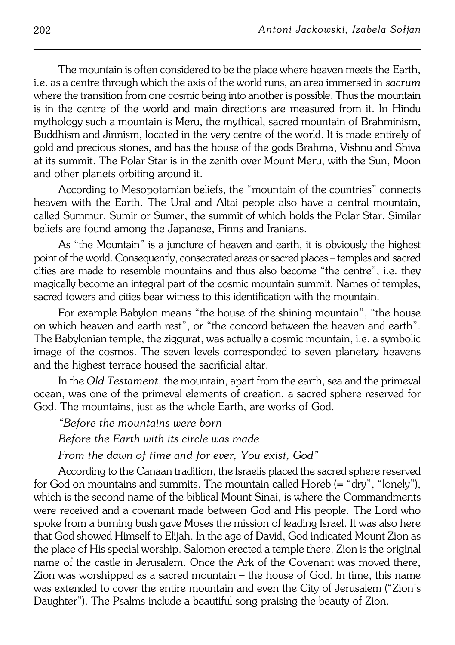The mountain is often considered to be the place where heaven meets the Earth, i.e. as a centre through which the axis of the world runs, an area immersed in*sacrum* where the transition from one cosmic being into another is possible. Thus the mountain is in the centre of the world and main directions are measured from it. In Hindu mythology such a mountain is Meru, the mythical, sacred mountain of Brahminism, Buddhism and Jinnism, located in the very centre of the world. It is made entirely of gold and precious stones, and has the house of the gods Brahma, Vishnu and Shiva at its summit. The Polar Star is in the zenith over Mount Meru, with the Sun, Moon and other planets orbiting around it.

According to Mesopotamian beliefs, the "mountain of the countries" connects heaven with the Earth. The Ural and Altai people also have a central mountain, called Summur, Sumir or Sumer, the summit of which holds the Polar Star. Similar beliefs are found among the Japanese, Finns and Iranians.

As "the Mountain" is a juncture of heaven and earth, it is obviously the highest point of the world. Consequently, consecrated areas or sacred places – temples and sacred cities are made to resemble mountains and thus also become "the centre", i.e. they magically become an integral part of the cosmic mountain summit. Names of temples, sacred towers and cities bear witness to this identification with the mountain.

For example Babylon means "the house of the shining mountain", "the house on which heaven and earth rest", or "the concord between the heaven and earth". The Babylonian temple, the ziggurat, was actually a cosmic mountain, i.e. a symbolic image of the cosmos. The seven levels corresponded to seven planetary heavens and the highest terrace housed the sacrificial altar.

In the *Old Testament*, the mountain, apart from the earth, sea and the primeval ocean, was one of the primeval elements of creation, a sacred sphere reserved for God. The mountains, just as the whole Earth, are works of God.

*"Before the mountains were born Before the Earth with its circle was made*

*From the dawn of time and for ever, You exist, God"*

According to the Canaan tradition, the Israelis placed the sacred sphere reserved for God on mountains and summits. The mountain called Horeb (= "dry", "lonely"), which is the second name of the biblical Mount Sinai, is where the Commandments were received and a covenant made between God and His people. TheLord who spoke from a burning bush gave Moses the mission of leading Israel. It was also here that God showed Himself to Elijah. In the age of David, God indicated Mount Zion as the place of His special worship. Salomon erected a temple there. Zion is the original name of the castle in Jerusalem. Once the Ark of the Covenant was moved there, Zion was worshipped as a sacred mountain – the house of God. Intime, this name was extended to cover the entire mountain and even the City of Jerusalem ("Zion's Daughter"). The Psalms include a beautiful song praising the beauty of Zion.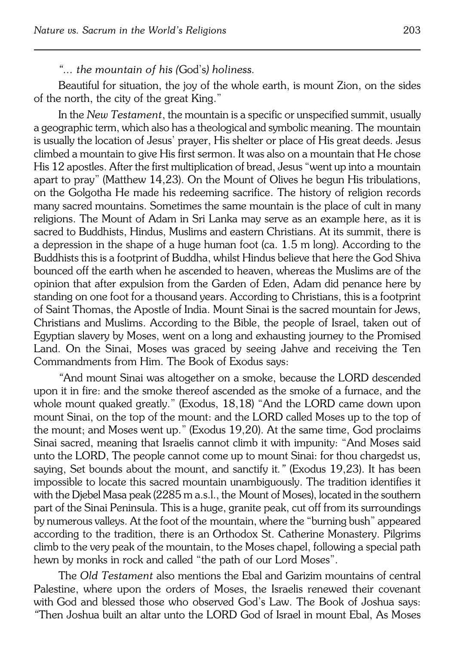## *"... the mountain of his (*God's*) holiness.*

Beautiful for situation, the joy of the whole earth, is mount Zion, on the sides of the north, the city of the great King."

In the *New Testament*, the mountain is a specific or unspecified summit, usually a geographic term, which also has a theological and symbolic meaning. The mountain is usually the location of Jesus' prayer, His shelter or place of His great deeds. Jesus climbed a mountain to give His first sermon. It was also on a mountain that He chose His 12 apostles. After the first multiplication of bread, Jesus "went up into amountain apart to pray" (Matthew 14,23). On the Mount of Olives he begun His tribulations, on the Golgotha He made his redeeming sacrifice. The history of religion records many sacred mountains. Sometimes the same mountain is the place of cult in many religions. The Mount of Adam in Sri Lanka may serve as an example here, as it is sacred to Buddhists, Hindus, Muslims and eastern Christians. At its summit, there is a depression in the shape of a huge human foot (ca. 1.5 m long). According to the Buddhists this is a footprint of Buddha, whilst Hindus believe that here the God Shiva bounced off the earth when he ascended to heaven, whereas the Muslims are of the opinion that after expulsion from the Garden of Eden, Adam did penance here by standing on one foot for a thousand years. According to Christians, this is a footprint of Saint Thomas, the Apostle of India. Mount Sinai is the sacred mountain for Jews, Christians and Muslims. According to the Bible, the people of Israel, taken out of Egyptian slavery by Moses, went on a long and exhausting journey to the Promised Land. On the Sinai, Moses was graced by seeing Jahve and receiving the Ten Commandments from Him. The Book of Exodus says:

*"*And mount Sinai was altogether on a smoke, because the LORD descended upon it in fire: and the smoke thereof ascended as the smoke of a furnace, and the whole mount quaked greatly." (Exodus, 18,18) "And the LORD came down upon mount Sinai, on the top of the mount: and the LORD called Moses up to the top of the mount; and Moses went up." (Exodus 19,20). At the same time, God proclaims Sinai sacred, meaning that Israelis cannot climb it with impunity: "And Moses said unto the LORD, The people cannot come up to mount Sinai: for thou chargedst us, saying, Set bounds about the mount, and sanctify it*."* (Exodus 19,23). It has been impossible to locate this sacred mountain unambiguously. The tradition identifies it with the Djebel Masa peak (2285 m a.s.l., the Mount of Moses), located in the southern part of the Sinai Peninsula. This is a huge, granite peak, cut off from its surroundings by numerous valleys. At the foot of the mountain, where the "burning bush" appeared according to the tradition, there is anOrthodox St. Catherine Monastery. Pilgrims climb to the very peak of the mountain, to the Moses chapel, following a special path hewn by monks in rock and called "the path of our Lord Moses".

The *Old Testament* also mentions the Ebal and Garizim mountains of central Palestine, where upon the orders of Moses, the Israelis renewed their covenant with God and blessed those who observed God's Law. The Book of Joshua says: *"*Then Joshua built an altar unto the LORD God of Israel in mount Ebal, AsMoses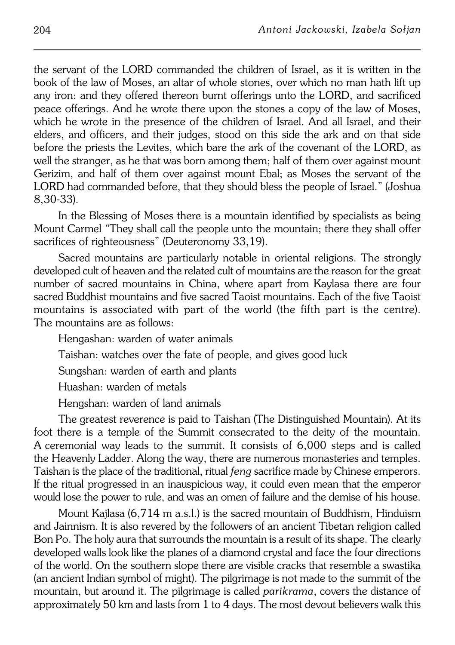the servant of the LORD commanded the children of Israel, as it is written inthe book of the law of Moses, an altar of whole stones, over which no man hath lift up any iron: and they offered thereon burnt offerings unto the LORD, and sacrificed peace offerings. And he wrote there upon the stones a copy of the law of Moses, which he wrote in the presence of the children of Israel. And all Israel, and their elders, and officers, and their judges, stood on this side the ark and on that side before the priests the Levites, which bare the ark of the covenant of the LORD, as well the stranger, as he that was born among them; half of them over against mount Gerizim, and half of them over against mount Ebal; as Moses the servant of the LORD had commanded before, that they should bless the people of Israel." (Joshua 8,30−33).

In the Blessing of Moses there is a mountain identified by specialists as being Mount Carmel *"*They shall call the people unto the mountain; there they shall offer sacrifices of righteousness" (Deuteronomy 33,19).

Sacred mountains are particularly notable in oriental religions. The strongly developed cult of heaven and the related cult of mountains are the reason for the great number of sacred mountains in China, where apart from Kaylasa there are four sacred Buddhist mountains and five sacred Taoist mountains. Each of the five Taoist mountains is associated with part of the world (the fifth part is the centre). The mountains are as follows:

Hengashan: warden of water animals

Taishan: watches over the fate of people, and gives good luck

Sungshan: warden of earth and plants

Huashan: warden of metals

Hengshan: warden of land animals

The greatest reverence is paid to Taishan (The Distinguished Mountain). At its foot there is a temple of the Summit consecrated to the deity of the mountain. Aceremonial way leads to the summit. It consists of 6,000 steps and is called the Heavenly Ladder. Along the way, there are numerous monasteries and temples. Taishan is the place of the traditional, ritual *feng* sacrifice made by Chinese emperors. If the ritual progressed in an inauspicious way, it could even mean that the emperor would lose the power to rule, and was an omen of failure and the demise of hishouse.

Mount Kajlasa (6,714 m a.s.l.) is the sacred mountain of Buddhism, Hinduism and Jainnism. It is also revered by the followers of an ancient Tibetan religion called Bon Po. The holy aura that surrounds the mountain is a result of its shape. The clearly developed walls look like the planes of a diamond crystal and face the four directions of the world. On the southern slope there are visible cracks that resemble a swastika (an ancient Indian symbol of might). The pilgrimage is not made to the summit of the mountain, but around it. The pilgrimage is called *parikrama*, covers the distance of approximately 50 km and lasts from 1 to 4 days. The most devout believers walk this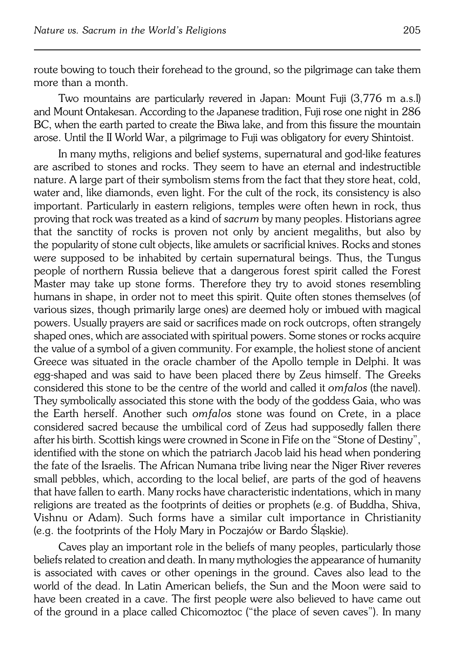route bowing to touch their forehead to the ground, so the pilgrimage can take them more than a month.

Two mountains are particularly revered in Japan: Mount Fuji (3,776 m a.s.l) and Mount Ontakesan. According to the Japanese tradition, Fuji rose one night in 286 BC, when the earth parted to create the Biwa lake, and from this fissure the mountain arose. Until the II World War, a pilgrimage to Fuji was obligatory for every Shintoist.

In many myths, religions and belief systems, supernatural and god−like features are ascribed to stones and rocks. They seem to have an eternal and indestructible nature. A large part of their symbolism stems from the fact that they store heat, cold, water and, like diamonds, even light. For the cult of the rock, its consistency is also important. Particularly in eastern religions, temples were often hewn in rock, thus proving that rock was treated as a kind of *sacrum* by many peoples. Historians agree that the sanctity of rocks is proven not only by ancient megaliths, but also by the popularity of stone cult objects, like amulets or sacrificial knives. Rocks and stones were supposed to be inhabited by certain supernatural beings. Thus, the Tungus people ofnorthern Russia believe that a dangerous forest spirit called the Forest Master may take up stone forms. Therefore they try to avoid stones resembling humans in shape, in order not to meet this spirit. Quite often stones themselves (of various sizes, though primarily large ones) are deemed holy or imbued with magical powers. Usually prayers are said or sacrifices made on rock outcrops, often strangely shaped ones, which are associated with spiritual powers. Some stones or rocks acquire the value of a symbol of a given community. For example, the holiest stone of ancient Greece was situated in the oracle chamber of the Apollo temple in Delphi. It was egg−shaped and was said to have been placed there by Zeus himself. The Greeks considered this stone to be the centre of the world and called it *omfalos* (the navel). They symbolically associated this stone with the body of the goddess Gaia, who was the Earth herself. Another such *omfalos* stone was found on Crete, in a place considered sacred because the umbilical cord of Zeus had supposedly fallen there after his birth. Scottish kings were crowned in Scone in Fife on the "Stone of Destiny", identified with the stone on which the patriarch Jacob laid his head when pondering the fate of the Israelis. The African Numana tribe living near the Niger River reveres small pebbles, which, according to the local belief, are parts of the god of heavens that have fallen to earth. Many rocks have characteristic indentations, which in many religions are treated as the footprints of deities or prophets (e.g. of Buddha, Shiva, Vishnu or Adam). Such forms have a similar cult importance in Christianity (e.g. the footprints of the Holy Mary in Poczajów or Bardo Śląskie).

Caves play an important role in the beliefs of many peoples, particularly those beliefs related to creation and death. In many mythologies the appearance of humanity is associated with caves or other openings in the ground. Caves also lead to the world of the dead. In Latin American beliefs, the Sun and the Moon were said to have been created in a cave. The first people were also believed to have came out of the ground in a place called Chicomoztoc ("the place of seven caves"). In many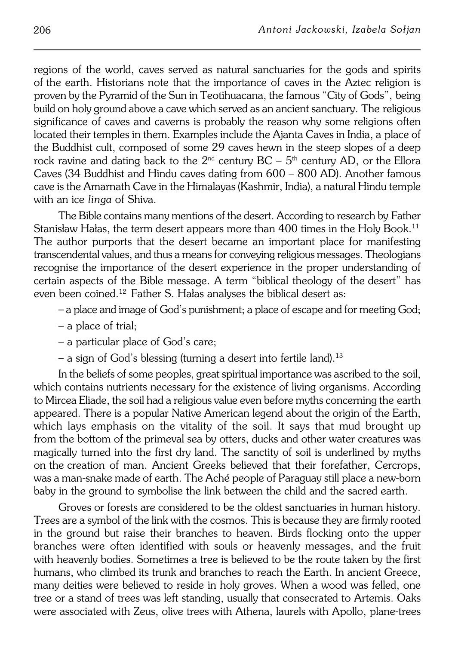regions of the world, caves served as natural sanctuaries for the gods and spirits of the earth. Historians note that the importance of caves in the Aztec religion is proven by the Pyramid of the Sun in Teotihuacana, the famous "City of Gods",being build on holy ground above a cave which served as an ancient sanctuary. The religious significance of caves and caverns is probably the reason why some religions often located their temples in them. Examples include the Ajanta Caves in India, a place of the Buddhist cult, composed of some 29 caves hewn in the steep slopes of a deep rock ravine and dating back to the  $2<sup>nd</sup>$  century BC –  $5<sup>th</sup>$  century AD, or the Ellora Caves (34 Buddhist and Hindu caves dating from 600 – 800 AD). Another famous cave is the Amarnath Cave in the Himalayas (Kashmir, India), a natural Hindu temple with an ice *linga* of Shiva.

The Bible contains many mentions of the desert. According to research by Father Stanisław Hałas, the term desert appears more than 400 times in the Holy Book.<sup>11</sup> The author purports that the desert became an important place for manifesting transcendental values, and thus a means for conveying religious messages. Theologians recognise the importance of the desert experience in the proper understanding of certain aspects of the Bible message. A term "biblical theology of thedesert" has even been coined.12 Father S. Hałas analyses the biblical desert as:

– a place and image of God's punishment; a place of escape and for meeting God;

- a place of trial;
- a particular place of God's care;
- $-$  a sign of God's blessing (turning a desert into fertile land).<sup>13</sup>

In the beliefs of some peoples, great spiritual importance was ascribed to the soil, which contains nutrients necessary for the existence of living organisms. According to Mircea Eliade, the soil had a religious value even before myths concerning the earth appeared. There is a popular Native American legend about the origin of the Earth, which lays emphasis on the vitality of the soil. It says that mud brought up from the bottom of the primeval sea by otters, ducks and other water creatures was magically turned into the first dry land. The sanctity of soil is underlined by myths onthecreation of man. Ancient Greeks believed that their forefather, Cercrops, was a man−snake made of earth. The Aché people of Paraguay still place a new−born baby in the ground to symbolise the link between the child and the sacred earth.

Groves or forests are considered to be the oldest sanctuaries in human history. Trees are a symbol of the link with the cosmos. This is because they are firmly rooted in the ground but raise their branches to heaven. Birds flocking onto the upper branches were often identified with souls or heavenly messages, and the fruit withheavenly bodies. Sometimes a tree is believed to be the route taken by the first humans, who climbed its trunk and branches to reach the Earth. In ancient Greece, many deities were believed to reside in holy groves. When a wood was felled, one tree or astand of trees was left standing, usually that consecrated to Artemis. Oaks were associated with Zeus, olive trees with Athena, laurels with Apollo, plane−trees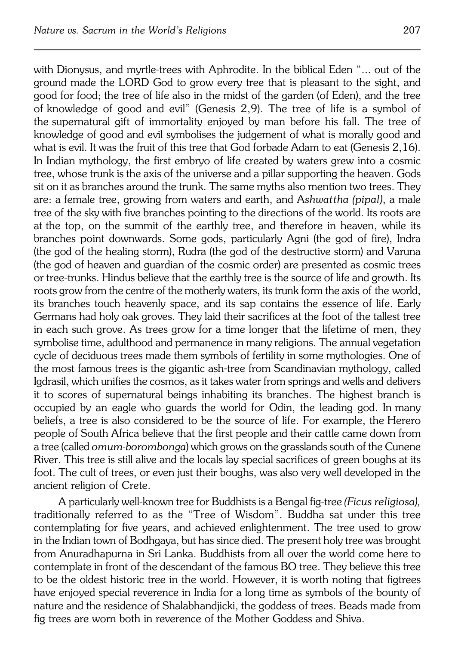with Dionysus, and myrtle-trees with Aphrodite. In the biblical Eden "... out of the ground made the LORD God to grow every tree that is pleasant to the sight, and good for food; the tree of life also in the midst of the garden (of Eden), and the tree ofknowledge of good and evil" (Genesis 2,9). The tree of life is a symbol of the supernatural gift of immortality enjoyed by man before his fall. The tree of knowledge of good and evil symbolises the judgement of what is morally good and what is evil. It was the fruit of this tree that God forbade Adam to eat (Genesis 2,16). In Indian mythology, the first embryo of life created by waters grew into a cosmic tree, whose trunk is the axis of the universe and a pillar supporting the heaven. Gods sit on it as branches around the trunk. The same myths also mention two trees. They are: afemale tree, growing from waters and earth, and A*shwattha (pipal)*, a male tree of the sky with five branches pointing to the directions of the world. Its roots are at the top, on the summit of the earthly tree, and therefore in heaven, while its branches point downwards. Some gods, particularly Agni (the god of fire), Indra (thegod of the healing storm), Rudra (the god of the destructive storm) and Varuna (the god of heaven and guardian of the cosmic order) are presented as cosmic trees or tree−trunks. Hindus believe that the earthly tree is the source of life and growth. Its roots grow from the centre of the motherly waters, its trunk form the axis of the world, its branches touch heavenly space, and its sap contains the essence of life. Early Germans had holy oak groves. They laid their sacrifices at the foot of the tallest tree in each such grove. As trees grow for a time longer that the lifetime of men, they symbolise time, adulthood and permanence in many religions. The annual vegetation cycle of deciduous trees made them symbols of fertility in some mythologies. One of the most famous trees is the gigantic ash−tree from Scandinavian mythology, called Igdrasil, which unifies the cosmos, as it takes water from springs and wells and delivers it to scores of supernatural beings inhabiting its branches. The highest branch is occupied by an eagle who guards the world for Odin, the leading god. Inmany beliefs, a tree is also considered to be the source of life. For example, the Herero people of South Africa believe that the first people and their cattle came down from a tree (called *omum−borombonga*) which grows on the grasslands south of the Cunene River. This tree is still alive and the locals lay special sacrifices of green boughs at its foot. The cult of trees, or even just their boughs, was also very well developed in the ancient religion of Crete.

A particularly well−known tree for Buddhists is a Bengal fig−tree *(Ficus religiosa),* traditionally referred to as the "Tree of Wisdom". Buddha sat under this tree contemplating for five years, and achieved enlightenment. The tree used to grow in the Indian town of Bodhgaya, but has since died. The present holy tree was brought from Anuradhapurna in Sri Lanka. Buddhists from all over the world come here to contemplate in front of the descendant of the famous BO tree. They believe this tree to be the oldest historic tree in the world. However, it is worth noting that figtrees have enjoyed special reverence in India for a long time as symbols of the bounty of nature and the residence of Shalabhandjicki, the goddess of trees. Beads made from fig trees are worn both in reverence of the Mother Goddess and Shiva.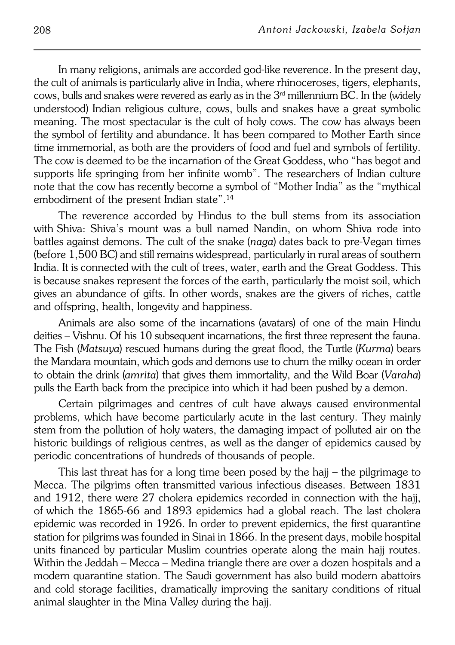In many religions, animals are accorded god−like reverence. In the present day, the cult of animals is particularly alive in India, where rhinoceroses, tigers, elephants, cows, bulls and snakes were revered as early as in the  $3<sup>rd</sup>$  millennium BC. In the (widely understood) Indian religious culture, cows, bulls and snakes have a great symbolic meaning. The most spectacular is the cult of holy cows. The cow has always been the symbol of fertility and abundance. It has been compared to Mother Earth since time immemorial, as both are the providers of food and fuel and symbols of fertility. The cow is deemed to be the incarnation of the Great Goddess, who "has begot and supports life springing from her infinite womb". The researchers of Indian culture note that the cow has recently become a symbol of "Mother India" as the "mythical embodiment of the present Indian state".<sup>14</sup>

The reverence accorded by Hindus to the bull stems from its association with Shiva: Shiva's mount was a bull named Nandin, on whom Shiva rode into battles against demons. The cult of the snake (*naga*) dates back to pre−Vegan times (before 1,500 BC) and still remains widespread, particularly in rural areas of southern India. It is connected with the cult of trees, water, earth and the Great Goddess. This is because snakes represent the forces of the earth, particularly the moist soil, which gives an abundance of gifts. In other words, snakes are the givers of riches, cattle and offspring, health, longevity and happiness.

Animals are also some of the incarnations (avatars) of one of the main Hindu deities – Vishnu. Of his 10 subsequent incarnations, the first three represent the fauna. The Fish (*Matsuya*) rescued humans during the great flood, the Turtle (*Kurma*) bears the Mandara mountain, which gods and demons use to churn the milky ocean in order to obtain the drink (*amrita*) that gives them immortality, and the Wild Boar (*Varaha*) pulls the Earth back from the precipice into which it had been pushed by a demon.

Certain pilgrimages and centres of cult have always caused environmental problems, which have become particularly acute in the last century. They mainly stem from the pollution of holy waters, the damaging impact of polluted air on the historic buildings of religious centres, as well as the danger of epidemics caused by periodic concentrations of hundreds of thousands of people.

This last threat has for a long time been posed by the hajj – the pilgrimage to Mecca. The pilgrims often transmitted various infectious diseases. Between 1831 and 1912, there were 27 cholera epidemics recorded in connection with the hajj, ofwhich the 1865−66 and 1893 epidemics had a global reach. The last cholera epidemic was recorded in 1926. In order to prevent epidemics, the first quarantine station for pilgrims was founded in Sinai in 1866. In the present days, mobile hospital units financed by particular Muslim countries operate along the main hajj routes. Within the Jeddah – Mecca – Medina triangle there are over a dozen hospitals and a modern quarantine station. The Saudi government has also build modern abattoirs and cold storage facilities, dramatically improving the sanitary conditions of ritual animal slaughter in the Mina Valley during the hajj.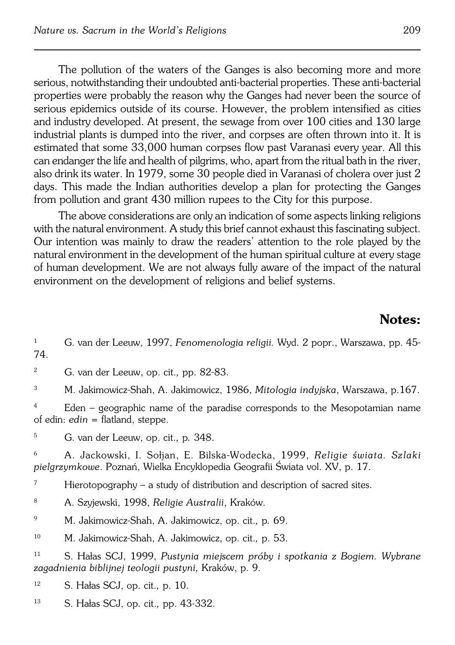The pollution of the waters of the Ganges is also becoming more and more serious, notwithstanding their undoubted anti−bacterial properties. These anti−bacterial properties were probably the reason why the Ganges had never been the source of serious epidemics outside of its course. However, the problem intensified as cities and industry developed. At present, the sewage from over 100 cities and 130 large industrial plants is dumped into the river, and corpses are often thrown into it. It is estimated that some 33,000 human corpses flow past Varanasi every year. All this can endanger the life and health of pilgrims, who, apart from the ritual bath in the river, also drink its water. In 1979, some 30 people died in Varanasi of cholera over just 2 days. This made the Indian authorities develop a plan for protecting the Ganges from pollution and grant 430 million rupees to the City for this purpose.

The above considerations are only an indication of some aspects linking religions with the natural environment. A study this brief cannot exhaust this fascinating subject. Our intention was mainly to draw the readers' attention to the role played by the natural environment in the development of the human spiritual culture at every stage of human development. We are not always fully aware of the impact of the natural environment on the development of religions and belief systems.

## **Notes:**

<sup>1</sup> G. van der Leeuw, 1997, *Fenomenologia religii.* Wyd. 2 popr., Warszawa, pp. 45− 74.

<sup>2</sup> G. van der Leeuw, op. cit.*,* pp. 82−83.

<sup>3</sup> M. Jakimowicz−Shah, A. Jakimowicz, 1986, *Mitologia indyjska*, Warszawa, p.167.

<sup>4</sup> Eden – geographic name of the paradise corresponds to the Mesopotamian name of edin: *edin* = flatland, steppe.

<sup>5</sup> G. van der Leeuw, op. cit.*,* p*.* 348.

<sup>6</sup> A. Jackowski, I. Sołjan, E. Bilska−Wodecka, 1999, *Religie świata. Szlaki pielgrzymkowe*. Poznań, Wielka Encyklopedia Geografii Świata vol. XV, p. 17.

<sup>7</sup> Hierotopography – a study of distribution and description of sacred sites.

<sup>8</sup> A. Szyjewski, 1998, *Religie Australii*, Kraków.

<sup>9</sup> M. Jakimowicz−Shah, A. Jakimowicz, op. cit.*,* p*.* 69.

<sup>10</sup> M. Jakimowicz−Shah, A. Jakimowicz, op. cit.*,* p. 53.

<sup>11</sup> S. Hałas SCJ, 1999, *Pustynia miejscem próby i spotkania z Bogiem. Wybrane zagadnienia biblijnej teologii pustyni,* Kraków, p. 9.

<sup>12</sup> S. Hałas SCJ, op. cit.*,* p. 10.

<sup>13</sup> S. Hałas SCJ, op. cit.*,* pp. 43−332.